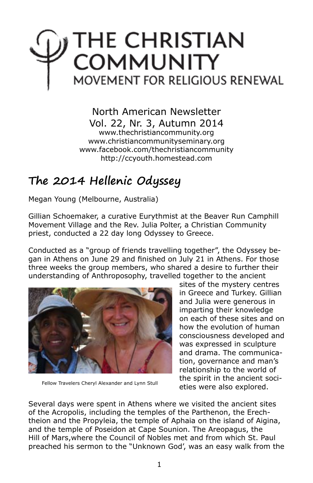# THE CHRISTIAN **COMMUNITY** MOVEMENT FOR RELIGIOUS RENEWAL

North American Newsletter Vol. 22, Nr. 3, Autumn 2014 www.thechristiancommunity.org www.christiancommunityseminary.org www.facebook.com/thechristiancommunity http://ccyouth.homestead.com

# **The 2014 Hellenic Odyssey**

Megan Young (Melbourne, Australia)

Gillian Schoemaker, a curative Eurythmist at the Beaver Run Camphill Movement Village and the Rev. Julia Polter, a Christian Community priest, conducted a 22 day long Odyssey to Greece.

Conducted as a "group of friends travelling together", the Odyssey began in Athens on June 29 and finished on July 21 in Athens. For those three weeks the group members, who shared a desire to further their understanding of Anthroposophy, travelled together to the ancient



Fellow Travelers Cheryl Alexander and Lynn Stull

sites of the mystery centres in Greece and Turkey. Gillian and Julia were generous in imparting their knowledge on each of these sites and on how the evolution of human consciousness developed and was expressed in sculpture and drama. The communication, governance and man's relationship to the world of the spirit in the ancient societies were also explored.

Several days were spent in Athens where we visited the ancient sites of the Acropolis, including the temples of the Parthenon, the Erechtheion and the Propyleia, the temple of Aphaia on the island of Aigina, and the temple of Poseidon at Cape Sounion. The Areopagus, the Hill of Mars,where the Council of Nobles met and from which St. Paul preached his sermon to the "Unknown God', was an easy walk from the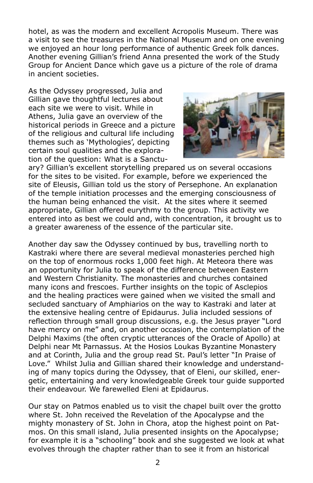hotel, as was the modern and excellent Acropolis Museum. There was a visit to see the treasures in the National Museum and on one evening we enjoyed an hour long performance of authentic Greek folk dances. Another evening Gillian's friend Anna presented the work of the Study Group for Ancient Dance which gave us a picture of the role of drama in ancient societies.

As the Odyssey progressed, Julia and Gillian gave thoughtful lectures about each site we were to visit. While in Athens, Julia gave an overview of the historical periods in Greece and a picture of the religious and cultural life including themes such as 'Mythologies', depicting certain soul qualities and the exploration of the question: What is a Sanctu-



ary? Gillian's excellent storytelling prepared us on several occasions for the sites to be visited. For example, before we experienced the site of Eleusis, Gillian told us the story of Persephone. An explanation of the temple initiation processes and the emerging consciousness of the human being enhanced the visit. At the sites where it seemed appropriate, Gillian offered eurythmy to the group. This activity we entered into as best we could and, with concentration, it brought us to a greater awareness of the essence of the particular site.

Another day saw the Odyssey continued by bus, travelling north to Kastraki where there are several medieval monasteries perched high on the top of enormous rocks 1,000 feet high. At Meteora there was an opportunity for Julia to speak of the difference between Eastern and Western Christianity. The monasteries and churches contained many icons and frescoes. Further insights on the topic of Asclepios and the healing practices were gained when we visited the small and secluded sanctuary of Amphiarios on the way to Kastraki and later at the extensive healing centre of Epidaurus. Julia included sessions of reflection through small group discussions, e.g. the Jesus prayer "Lord have mercy on me" and, on another occasion, the contemplation of the Delphi Maxims (the often cryptic utterances of the Oracle of Apollo) at Delphi near Mt Parnassus. At the Hosios Loukas Byzantine Monastery and at Corinth, Julia and the group read St. Paul's letter "In Praise of Love." Whilst Julia and Gillian shared their knowledge and understanding of many topics during the Odyssey, that of Eleni, our skilled, energetic, entertaining and very knowledgeable Greek tour guide supported their endeavour. We farewelled Eleni at Epidaurus.

Our stay on Patmos enabled us to visit the chapel built over the grotto where St. John received the Revelation of the Apocalypse and the mighty monastery of St. John in Chora, atop the highest point on Patmos. On this small island, Julia presented insights on the Apocalypse; for example it is a "schooling" book and she suggested we look at what evolves through the chapter rather than to see it from an historical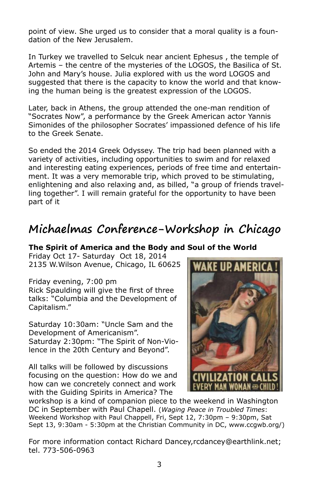point of view. She urged us to consider that a moral quality is a foundation of the New Jerusalem.

In Turkey we travelled to Selcuk near ancient Ephesus , the temple of Artemis – the centre of the mysteries of the LOGOS, the Basilica of St. John and Mary's house. Julia explored with us the word LOGOS and suggested that there is the capacity to know the world and that knowing the human being is the greatest expression of the LOGOS.

Later, back in Athens, the group attended the one-man rendition of "Socrates Now", a performance by the Greek American actor Yannis Simonides of the philosopher Socrates' impassioned defence of his life to the Greek Senate.

So ended the 2014 Greek Odyssey. The trip had been planned with a variety of activities, including opportunities to swim and for relaxed and interesting eating experiences, periods of free time and entertainment. It was a very memorable trip, which proved to be stimulating, enlightening and also relaxing and, as billed, "a group of friends travelling together". I will remain grateful for the opportunity to have been part of it

# **Michaelmas Conference-Workshop in Chicago**

#### **The Spirit of America and the Body and Soul of the World**

Friday Oct 17- Saturday Oct 18, 2014 2135 W.Wilson Avenue, Chicago, IL 60625

Friday evening, 7:00 pm Rick Spaulding will give the first of three talks: "Columbia and the Development of Capitalism."

Saturday 10:30am: "Uncle Sam and the Development of Americanism". Saturday 2:30pm: "The Spirit of Non-Violence in the 20th Century and Beyond".

All talks will be followed by discussions focusing on the question: How do we and how can we concretely connect and work with the Guiding Spirits in America? The



workshop is a kind of companion piece to the weekend in Washington DC in September with Paul Chapell. (*Waging Peace in Troubled Times*: Weekend Workshop with Paul Chappell, Fri, Sept 12, 7:30pm – 9:30pm, Sat Sept 13, 9:30am - 5:30pm at the Christian Community in DC, www.ccgwb.org/)

For more information contact Richard Dancey,rcdancey@earthlink.net; tel. 773-506-0963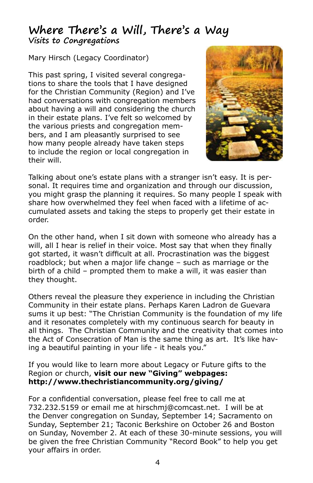#### **Where There's a Will, There's a Way Visits to Congregations**

Mary Hirsch (Legacy Coordinator)

This past spring, I visited several congregations to share the tools that I have designed for the Christian Community (Region) and I've had conversations with congregation members about having a will and considering the church in their estate plans. I've felt so welcomed by the various priests and congregation members, and I am pleasantly surprised to see how many people already have taken steps to include the region or local congregation in their will.



Talking about one's estate plans with a stranger isn't easy. It is personal. It requires time and organization and through our discussion, you might grasp the planning it requires. So many people I speak with share how overwhelmed they feel when faced with a lifetime of accumulated assets and taking the steps to properly get their estate in order.

On the other hand, when I sit down with someone who already has a will, all I hear is relief in their voice. Most say that when they finally got started, it wasn't difficult at all. Procrastination was the biggest roadblock; but when a major life change – such as marriage or the birth of a child – prompted them to make a will, it was easier than they thought.

Others reveal the pleasure they experience in including the Christian Community in their estate plans. Perhaps Karen Ladron de Guevara sums it up best: "The Christian Community is the foundation of my life and it resonates completely with my continuous search for beauty in all things. The Christian Community and the creativity that comes into the Act of Consecration of Man is the same thing as art. It's like having a beautiful painting in your life - it heals you."

If you would like to learn more about Legacy or Future gifts to the Region or church, **visit our new "Giving" webpages: http://www.thechristiancommunity.org/giving/**

For a confidential conversation, please feel free to call me at 732.232.5159 or email me at hirschmj@comcast.net. I will be at the Denver congregation on Sunday, September 14; Sacramento on Sunday, September 21; Taconic Berkshire on October 26 and Boston on Sunday, November 2. At each of these 30-minute sessions, you will be given the free Christian Community "Record Book" to help you get your affairs in order.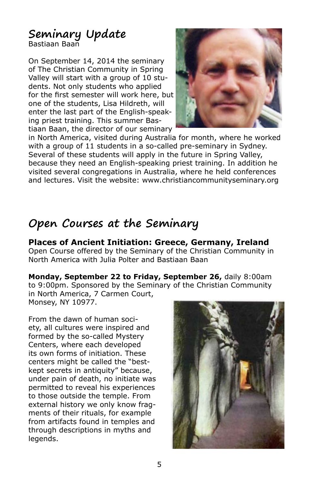#### **Seminary Update** Bastiaan Baan

On September 14, 2014 the seminary of The Christian Community in Spring Valley will start with a group of 10 students. Not only students who applied for the first semester will work here, but one of the students, Lisa Hildreth, will enter the last part of the English-speaking priest training. This summer Bastiaan Baan, the director of our seminary



in North America, visited during Australia for month, where he worked with a group of 11 students in a so-called pre-seminary in Sydney. Several of these students will apply in the future in Spring Valley, because they need an English-speaking priest training. In addition he visited several congregations in Australia, where he held conferences and lectures. Visit the website: www.christiancommunityseminary.org

## **Open Courses at the Seminary**

**Places of Ancient Initiation: Greece, Germany, Ireland** Open Course offered by the Seminary of the Christian Community in North America with Julia Polter and Bastiaan Baan

**Monday, September 22 to Friday, September 26,** daily 8:00am

to 9:00pm. Sponsored by the Seminary of the Christian Community in North America, 7 Carmen Court, Monsey, NY 10977.

From the dawn of human society, all cultures were inspired and formed by the so-called Mystery Centers, where each developed its own forms of initiation. These centers might be called the "bestkept secrets in antiquity" because, under pain of death, no initiate was permitted to reveal his experiences to those outside the temple. From external history we only know fragments of their rituals, for example from artifacts found in temples and through descriptions in myths and legends.

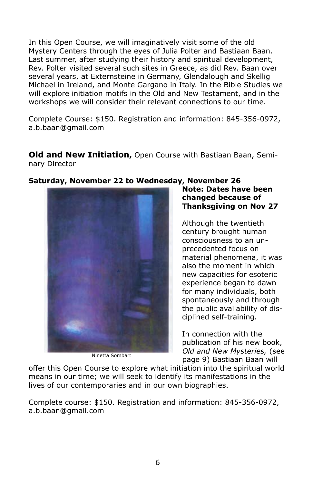In this Open Course, we will imaginatively visit some of the old Mystery Centers through the eyes of Julia Polter and Bastiaan Baan. Last summer, after studying their history and spiritual development, Rev. Polter visited several such sites in Greece, as did Rev. Baan over several years, at Externsteine in Germany, Glendalough and Skellig Michael in Ireland, and Monte Gargano in Italy. In the Bible Studies we will explore initiation motifs in the Old and New Testament, and in the workshops we will consider their relevant connections to our time.

Complete Course: \$150. Registration and information: 845-356-0972, a.b.baan@gmail.com

**Old and New Initiation,** Open Course with Bastiaan Baan, Seminary Director



#### **Saturday, November 22 to Wednesday, November 26**

Ninetta Sombart

#### **Note: Dates have been changed because of Thanksgiving on Nov 27**

Although the twentieth century brought human consciousness to an unprecedented focus on material phenomena, it was also the moment in which new capacities for esoteric experience began to dawn for many individuals, both spontaneously and through the public availability of disciplined self-training.

In connection with the publication of his new book, *Old and New Mysteries,* (see page 9) Bastiaan Baan will

offer this Open Course to explore what initiation into the spiritual world means in our time; we will seek to identify its manifestations in the lives of our contemporaries and in our own biographies.

Complete course: \$150. Registration and information: 845-356-0972, a.b.baan@gmail.com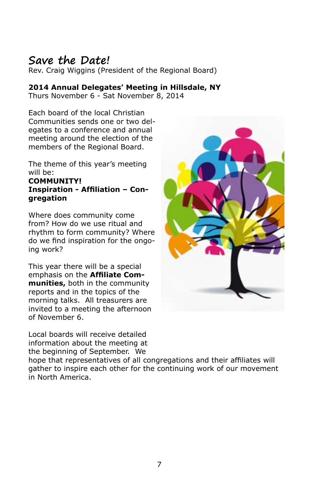### **Save the Date!**

Rev. Craig Wiggins (President of the Regional Board)

#### **2014 Annual Delegates' Meeting in Hillsdale, NY**

Thurs November 6 - Sat November 8, 2014

Each board of the local Christian Communities sends one or two delegates to a conference and annual meeting around the election of the members of the Regional Board.

The theme of this year's meeting will be:

#### **COMMUNITY! Inspiration - Affiliation – Congregation**

Where does community come from? How do we use ritual and rhythm to form community? Where do we find inspiration for the ongoing work?

This year there will be a special emphasis on the **Affiliate Communities,** both in the community reports and in the topics of the morning talks. All treasurers are invited to a meeting the afternoon of November 6.

Local boards will receive detailed information about the meeting at the beginning of September. We

hope that representatives of all congregations and their affiliates will gather to inspire each other for the continuing work of our movement in North America.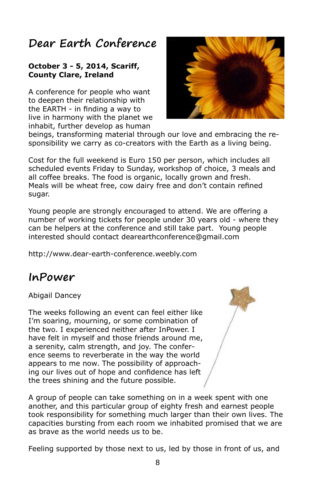### **Dear Earth Conference**

#### **October 3 - 5, 2014, Scariff, County Clare, Ireland**

A conference for people who want to deepen their relationship with the EARTH - in finding a way to live in harmony with the planet we inhabit, further develop as human



beings, transforming material through our love and embracing the responsibility we carry as co-creators with the Earth as a living being.

Cost for the full weekend is Euro 150 per person, which includes all scheduled events Friday to Sunday, workshop of choice, 3 meals and all coffee breaks. The food is organic, locally grown and fresh. Meals will be wheat free, cow dairy free and don't contain refined sugar.

Young people are strongly encouraged to attend. We are offering a number of working tickets for people under 30 years old - where they can be helpers at the conference and still take part. Young people interested should contact dearearthconference@gmail.com

http://www.dear-earth-conference.weebly.com

### **InPower**

#### Abigail Dancey

The weeks following an event can feel either like I'm soaring, mourning, or some combination of the two. I experienced neither after InPower. I have felt in myself and those friends around me, a serenity, calm strength, and joy. The conference seems to reverberate in the way the world appears to me now. The possibility of approaching our lives out of hope and confidence has left the trees shining and the future possible.

A group of people can take something on in a week spent with one another, and this particular group of eighty fresh and earnest people took responsibility for something much larger than their own lives. The capacities bursting from each room we inhabited promised that we are as brave as the world needs us to be.

Feeling supported by those next to us, led by those in front of us, and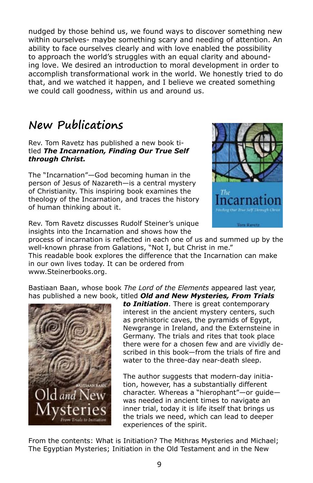nudged by those behind us, we found ways to discover something new within ourselves- maybe something scary and needing of attention. An ability to face ourselves clearly and with love enabled the possibility to approach the world's struggles with an equal clarity and abounding love. We desired an introduction to moral development in order to accomplish transformational work in the world. We honestly tried to do that, and we watched it happen, and I believe we created something we could call goodness, within us and around us.

### **New Publications**

Rev. Tom Ravetz has published a new book titled *The Incarnation, Finding Our True Self through Christ.*

The "Incarnation"—God becoming human in the person of Jesus of Nazareth—is a central mystery of Christianity. This inspiring book examines the theology of the Incarnation, and traces the history of human thinking about it.



Rev. Tom Ravetz discusses Rudolf Steiner's unique insights into the Incarnation and shows how the

process of incarnation is reflected in each one of us and summed up by the well-known phrase from Galations, "Not I, but Christ in me."

This readable book explores the difference that the Incarnation can make in our own lives today. It can be ordered from www.Steinerbooks.org.

Bastiaan Baan, whose book *The Lord of the Elements* appeared last year, has published a new book, titled *Old and New Mysteries, From Trials* 



*to Initiation*. There is great contemporary interest in the ancient mystery centers, such as prehistoric caves, the pyramids of Egypt, Newgrange in Ireland, and the Externsteine in Germany. The trials and rites that took place there were for a chosen few and are vividly described in this book—from the trials of fire and water to the three-day near-death sleep.

The author suggests that modern-day initiation, however, has a substantially different character. Whereas a "hierophant"—or guide was needed in ancient times to navigate an inner trial, today it is life itself that brings us the trials we need, which can lead to deeper experiences of the spirit.

From the contents: What is Initiation? The Mithras Mysteries and Michael; The Egyptian Mysteries; Initiation in the Old Testament and in the New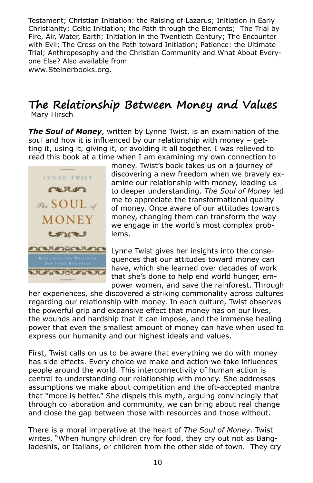Testament; Christian Initiation: the Raising of Lazarus; Initiation in Early Christianity; Celtic Initiation; the Path through the Elements; The Trial by Fire, Air, Water, Earth; Initiation in the Twentieth Century; The Encounter with Evil; The Cross on the Path toward Initiation; Patience: the Ultimate Trial; Anthroposophy and the Christian Community and What About Everyone Else? Also available from www.Steinerbooks.org.

#### **The Relationship Between Money and Values** Mary Hirsch

*The Soul of Money*, written by Lynne Twist, is an examination of the soul and how it is influenced by our relationship with money – getting it, using it, giving it, or avoiding it all together. I was relieved to read this book at a time when I am examining my own connection to



money. Twist's book takes us on a journey of discovering a new freedom when we bravely examine our relationship with money, leading us to deeper understanding. *The Soul of Money* led me to appreciate the transformational quality of money. Once aware of our attitudes towards money, changing them can transform the way we engage in the world's most complex problems.

**Lynne Twist gives her insights into the conse**quences that our attitudes toward money can have, which she learned over decades of work that she's done to help end world hunger, empower women, and save the rainforest. Through

her experiences, she discovered a striking commonality across cultures regarding our relationship with money. In each culture, Twist observes the powerful grip and expansive effect that money has on our lives, the wounds and hardship that it can impose, and the immense healing power that even the smallest amount of money can have when used to express our humanity and our highest ideals and values.

First, Twist calls on us to be aware that everything we do with money has side effects. Every choice we make and action we take influences people around the world. This interconnectivity of human action is central to understanding our relationship with money. She addresses assumptions we make about competition and the oft-accepted mantra that "more is better." She dispels this myth, arguing convincingly that through collaboration and community, we can bring about real change and close the gap between those with resources and those without.

There is a moral imperative at the heart of *The Soul of Money*. Twist writes, "When hungry children cry for food, they cry out not as Bangladeshis, or Italians, or children from the other side of town. They cry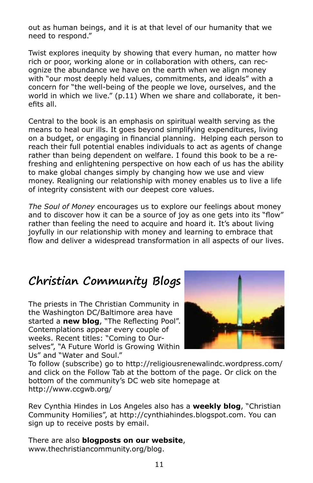out as human beings, and it is at that level of our humanity that we need to respond."

Twist explores inequity by showing that every human, no matter how rich or poor, working alone or in collaboration with others, can recognize the abundance we have on the earth when we align money with "our most deeply held values, commitments, and ideals" with a concern for "the well-being of the people we love, ourselves, and the world in which we live." (p.11) When we share and collaborate, it benefits all.

Central to the book is an emphasis on spiritual wealth serving as the means to heal our ills. It goes beyond simplifying expenditures, living on a budget, or engaging in financial planning. Helping each person to reach their full potential enables individuals to act as agents of change rather than being dependent on welfare. I found this book to be a refreshing and enlightening perspective on how each of us has the ability to make global changes simply by changing how we use and view money. Realigning our relationship with money enables us to live a life of integrity consistent with our deepest core values.

*The Soul of Money* encourages us to explore our feelings about money and to discover how it can be a source of joy as one gets into its "flow" rather than feeling the need to acquire and hoard it. It's about living joyfully in our relationship with money and learning to embrace that flow and deliver a widespread transformation in all aspects of our lives.

### **Christian Community Blogs**

The priests in The Christian Community in the Washington DC/Baltimore area have started a **new blog**, "The Reflecting Pool". Contemplations appear every couple of weeks. Recent titles: "Coming to Ourselves", "A Future World is Growing Within Us" and "Water and Soul."



To follow (subscribe) go to http://religiousrenewalindc.wordpress.com/ and click on the Follow Tab at the bottom of the page. Or click on the bottom of the community's DC web site homepage at http://www.ccgwb.org/

Rev Cynthia Hindes in Los Angeles also has a **weekly blog**, "Christian Community Homilies", at http://cynthiahindes.blogspot.com. You can sign up to receive posts by email.

There are also **blogposts on our website**, www.thechristiancommunity.org/blog.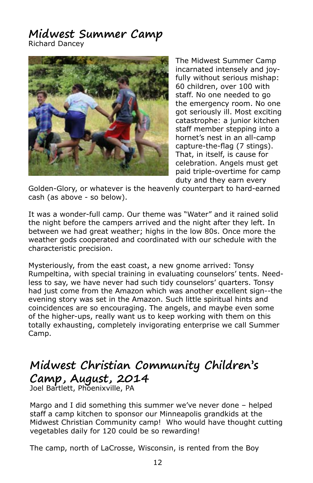#### **Midwest Summer Camp** Richard Dancey



The Midwest Summer Camp incarnated intensely and joyfully without serious mishap: 60 children, over 100 with staff. No one needed to go the emergency room. No one got seriously ill. Most exciting catastrophe: a junior kitchen staff member stepping into a hornet's nest in an all-camp capture-the-flag (7 stings). That, in itself, is cause for celebration. Angels must get paid triple-overtime for camp duty and they earn every

Golden-Glory, or whatever is the heavenly counterpart to hard-earned cash (as above - so below).

It was a wonder-full camp. Our theme was "Water" and it rained solid the night before the campers arrived and the night after they left. In between we had great weather; highs in the low 80s. Once more the weather gods cooperated and coordinated with our schedule with the characteristic precision.

Mysteriously, from the east coast, a new gnome arrived: Tonsy Rumpeltina, with special training in evaluating counselors' tents. Needless to say, we have never had such tidy counselors' quarters. Tonsy had just come from the Amazon which was another excellent sign--the evening story was set in the Amazon. Such little spiritual hints and coincidences are so encouraging. The angels, and maybe even some of the higher-ups, really want us to keep working with them on this totally exhausting, completely invigorating enterprise we call Summer Camp.

## **Midwest Christian Community Children's Camp, August, 2014**

Joel Bartlett, Phoenixville, PA

Margo and I did something this summer we've never done – helped staff a camp kitchen to sponsor our Minneapolis grandkids at the Midwest Christian Community camp! Who would have thought cutting vegetables daily for 120 could be so rewarding!

The camp, north of LaCrosse, Wisconsin, is rented from the Boy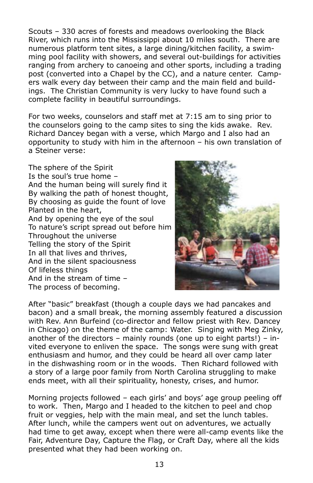Scouts – 330 acres of forests and meadows overlooking the Black River, which runs into the Mississippi about 10 miles south. There are numerous platform tent sites, a large dining/kitchen facility, a swimming pool facility with showers, and several out-buildings for activities ranging from archery to canoeing and other sports, including a trading post (converted into a Chapel by the CC), and a nature center. Campers walk every day between their camp and the main field and buildings. The Christian Community is very lucky to have found such a complete facility in beautiful surroundings.

For two weeks, counselors and staff met at 7:15 am to sing prior to the counselors going to the camp sites to sing the kids awake. Rev. Richard Dancey began with a verse, which Margo and I also had an opportunity to study with him in the afternoon – his own translation of a Steiner verse:

The sphere of the Spirit Is the soul's true home – And the human being will surely find it By walking the path of honest thought, By choosing as guide the fount of love Planted in the heart, And by opening the eye of the soul To nature's script spread out before him Throughout the universe Telling the story of the Spirit In all that lives and thrives, And in the silent spaciousness Of lifeless things And in the stream of time – The process of becoming.



After "basic" breakfast (though a couple days we had pancakes and bacon) and a small break, the morning assembly featured a discussion with Rev. Ann Burfeind (co-director and fellow priest with Rev. Dancey in Chicago) on the theme of the camp: Water. Singing with Meg Zinky, another of the directors – mainly rounds (one up to eight parts!) – invited everyone to enliven the space. The songs were sung with great enthusiasm and humor, and they could be heard all over camp later in the dishwashing room or in the woods. Then Richard followed with a story of a large poor family from North Carolina struggling to make ends meet, with all their spirituality, honesty, crises, and humor.

Morning projects followed – each girls' and boys' age group peeling off to work. Then, Margo and I headed to the kitchen to peel and chop fruit or veggies, help with the main meal, and set the lunch tables. After lunch, while the campers went out on adventures, we actually had time to get away, except when there were all-camp events like the Fair, Adventure Day, Capture the Flag, or Craft Day, where all the kids presented what they had been working on.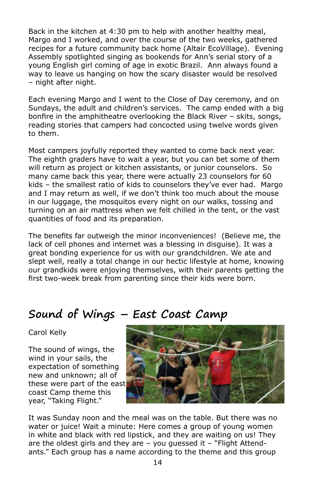Back in the kitchen at 4:30 pm to help with another healthy meal, Margo and I worked, and over the course of the two weeks, gathered recipes for a future community back home (Altair EcoVillage). Evening Assembly spotlighted singing as bookends for Ann's serial story of a young English girl coming of age in exotic Brazil. Ann always found a way to leave us hanging on how the scary disaster would be resolved – night after night.

Each evening Margo and I went to the Close of Day ceremony, and on Sundays, the adult and children's services. The camp ended with a big bonfire in the amphitheatre overlooking the Black River – skits, songs, reading stories that campers had concocted using twelve words given to them.

Most campers joyfully reported they wanted to come back next year. The eighth graders have to wait a year, but you can bet some of them will return as project or kitchen assistants, or junior counselors. So many came back this year, there were actually 23 counselors for 60 kids – the smallest ratio of kids to counselors they've ever had. Margo and I may return as well, if we don't think too much about the mouse in our luggage, the mosquitos every night on our walks, tossing and turning on an air mattress when we felt chilled in the tent, or the vast quantities of food and its preparation.

The benefits far outweigh the minor inconveniences! (Believe me, the lack of cell phones and internet was a blessing in disguise). It was a great bonding experience for us with our grandchildren. We ate and slept well, really a total change in our hectic lifestyle at home, knowing our grandkids were enjoying themselves, with their parents getting the first two-week break from parenting since their kids were born.

## **Sound of Wings – East Coast Camp**

Carol Kelly

The sound of wings, the wind in your sails, the expectation of something new and unknown; all of these were part of the east coast Camp theme this year, "Taking Flight."



It was Sunday noon and the meal was on the table. But there was no water or juice! Wait a minute: Here comes a group of young women in white and black with red lipstick, and they are waiting on us! They are the oldest girls and they are  $-$  you guessed it  $-$  "Flight Attendants." Each group has a name according to the theme and this group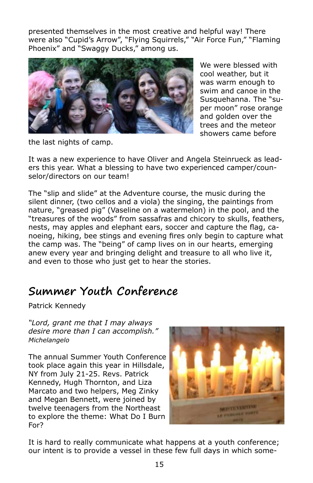presented themselves in the most creative and helpful way! There were also "Cupid's Arrow", "Flying Squirrels," "Air Force Fun," "Flaming Phoenix" and "Swaggy Ducks," among us.



We were blessed with cool weather, but it was warm enough to swim and canoe in the Susquehanna. The "super moon" rose orange and golden over the trees and the meteor showers came before

the last nights of camp.

It was a new experience to have Oliver and Angela Steinrueck as leaders this year. What a blessing to have two experienced camper/counselor/directors on our team!

The "slip and slide" at the Adventure course, the music during the silent dinner, (two cellos and a viola) the singing, the paintings from nature, "greased pig" (Vaseline on a watermelon) in the pool, and the "treasures of the woods" from sassafras and chicory to skulls, feathers, nests, may apples and elephant ears, soccer and capture the flag, canoeing, hiking, bee stings and evening fires only begin to capture what the camp was. The "being" of camp lives on in our hearts, emerging anew every year and bringing delight and treasure to all who live it, and even to those who just get to hear the stories.

### **Summer Youth Conference**

Patrick Kennedy

*"Lord, grant me that I may always desire more than I can accomplish." Michelangelo*

The annual Summer Youth Conference took place again this year in Hillsdale, NY from July 21-25. Revs. Patrick Kennedy, Hugh Thornton, and Liza Marcato and two helpers, Meg Zinky and Megan Bennett, were joined by twelve teenagers from the Northeast to explore the theme: What Do I Burn For?



It is hard to really communicate what happens at a youth conference; our intent is to provide a vessel in these few full days in which some